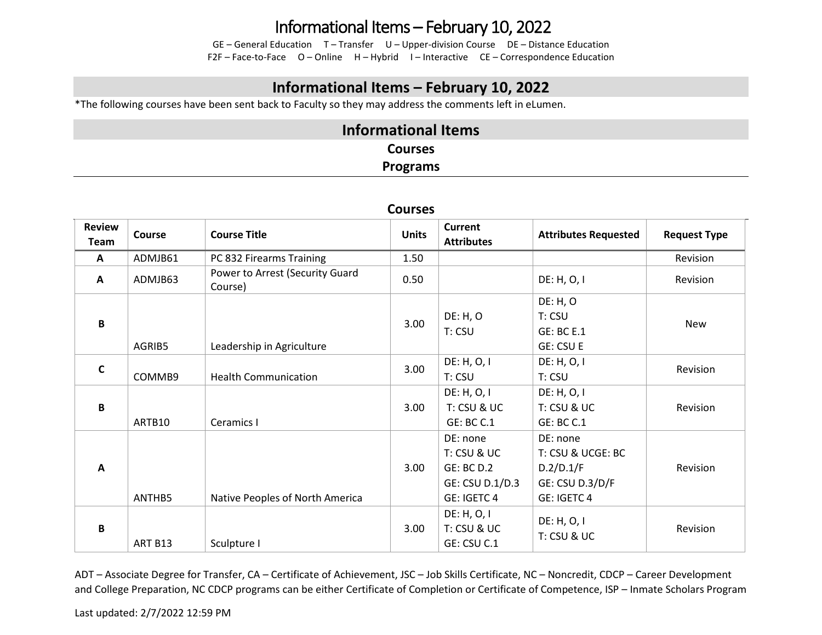# Informational Items – February 10, 2022

GE – General Education T – Transfer U – Upper-division Course DE – Distance Education F2F – Face-to-Face O – Online H – Hybrid I – Interactive CE – Correspondence Education

### **Informational Items – February 10, 2022**

\*The following courses have been sent back to Faculty so they may address the comments left in eLumen.

### **Informational Items Courses Programs**

| <b>COULDED</b>               |         |                                            |              |                                                                                |                                                                              |                     |
|------------------------------|---------|--------------------------------------------|--------------|--------------------------------------------------------------------------------|------------------------------------------------------------------------------|---------------------|
| <b>Review</b><br><b>Team</b> | Course  | <b>Course Title</b>                        | <b>Units</b> | <b>Current</b><br><b>Attributes</b>                                            | <b>Attributes Requested</b>                                                  | <b>Request Type</b> |
| $\mathbf{A}$                 | ADMJB61 | PC 832 Firearms Training                   | 1.50         |                                                                                |                                                                              | Revision            |
| A                            | ADMJB63 | Power to Arrest (Security Guard<br>Course) | 0.50         |                                                                                | DE: H, O, I                                                                  | Revision            |
| $\, {\bf B} \,$              | AGRIB5  | Leadership in Agriculture                  | 3.00         | DE: H, O<br>T: CSU                                                             | DE: H, O<br>T: CSU<br><b>GE: BC E.1</b><br><b>GE: CSU E</b>                  | New                 |
| $\mathsf{C}$                 | COMMB9  | <b>Health Communication</b>                | 3.00         | DE: H, O, I<br>T: CSU                                                          | DE: H, O, I<br>T: CSU                                                        | Revision            |
| $\, {\bf B} \,$              | ARTB10  | Ceramics I                                 | 3.00         | DE: H, O, I<br>T: CSU & UC<br>GE: BC C.1                                       | DE: H, O, I<br>T: CSU & UC<br><b>GE: BC C.1</b>                              | Revision            |
| A                            | ANTHB5  | Native Peoples of North America            | 3.00         | DE: none<br>T: CSU & UC<br><b>GE: BC D.2</b><br>GE: CSU D.1/D.3<br>GE: IGETC 4 | DE: none<br>T: CSU & UCGE: BC<br>D.2/D.1/F<br>GE: CSU D.3/D/F<br>GE: IGETC 4 | Revision            |
| B                            | ART B13 | Sculpture I                                | 3.00         | DE: H, O, I<br>T: CSU & UC<br>GE: CSU C.1                                      | DE: H, O, I<br>T: CSU & UC                                                   | Revision            |

#### **Courses**

ADT – Associate Degree for Transfer, CA – Certificate of Achievement, JSC – Job Skills Certificate, NC – Noncredit, CDCP – Career Development and College Preparation, NC CDCP programs can be either Certificate of Completion or Certificate of Competence, ISP – Inmate Scholars Program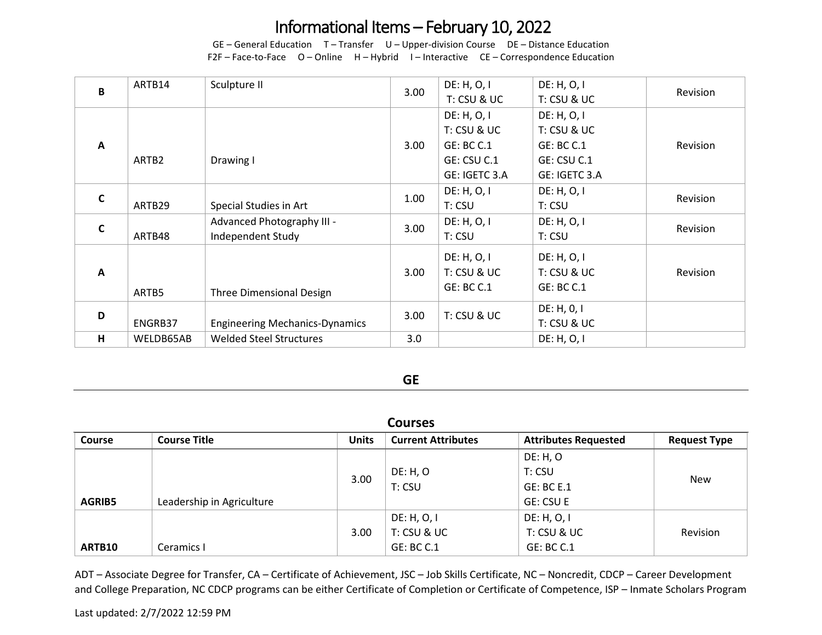# Informational Items – February 10, 2022

GE – General Education T – Transfer U – Upper-division Course DE – Distance Education F2F – Face-to-Face O – Online H – Hybrid I – Interactive CE – Correspondence Education

| B            | ARTB14            | Sculpture II                                    | 3.00              | DE: H, O, I<br>T: CSU & UC                                                      | DE: H, O, I<br>T: CSU & UC                                                      | Revision |
|--------------|-------------------|-------------------------------------------------|-------------------|---------------------------------------------------------------------------------|---------------------------------------------------------------------------------|----------|
| $\mathbf{A}$ | ARTB <sub>2</sub> | Drawing I                                       | 3.00              | DE: H, O, I<br>T: CSU & UC<br><b>GE: BC C.1</b><br>GE: CSU C.1<br>GE: IGETC 3.A | DE: H, O, I<br>T: CSU & UC<br><b>GE: BC C.1</b><br>GE: CSU C.1<br>GE: IGETC 3.A | Revision |
| $\mathbf c$  | ARTB29            | Special Studies in Art                          | 1.00              | DE: H, O, I<br>T: CSU                                                           | DE: H, O, I<br>T: CSU                                                           | Revision |
| $\mathsf{C}$ | ARTB48            | Advanced Photography III -<br>Independent Study | 3.00              | DE: H, O, I<br>T: CSU                                                           | DE: H, O, I<br>T: CSU                                                           | Revision |
| $\mathbf{A}$ | ARTB5             | Three Dimensional Design                        | 3.00 <sub>1</sub> | DE: H, O, I<br>T: CSU & UC<br><b>GE: BC C.1</b>                                 | DE: H, O, I<br>T: CSU & UC<br><b>GE: BC C.1</b>                                 | Revision |
| D            | ENGRB37           | <b>Engineering Mechanics-Dynamics</b>           | 3.00              | T: CSU & UC                                                                     | DE: H, 0, I<br>T: CSU & UC                                                      |          |
| H            | WELDB65AB         | <b>Welded Steel Structures</b>                  | 3.0               |                                                                                 | DE: H, O, I                                                                     |          |

#### **GE**

| <b>Courses</b> |                           |              |                           |                             |                     |
|----------------|---------------------------|--------------|---------------------------|-----------------------------|---------------------|
| <b>Course</b>  | <b>Course Title</b>       | <b>Units</b> | <b>Current Attributes</b> | <b>Attributes Requested</b> | <b>Request Type</b> |
|                |                           |              |                           | <b>DE: H, O</b>             |                     |
|                |                           | 3.00         | <b>DE: H, O</b>           | T: CSU                      | <b>New</b>          |
|                |                           |              | T: CSU                    | <b>GE: BC E.1</b>           |                     |
| <b>AGRIB5</b>  | Leadership in Agriculture |              |                           | GE: CSU E                   |                     |
|                |                           |              | DE: H, O, I               | DE: H, O, I                 |                     |
|                |                           | 3.00         | T: CSU & UC               | T: CSU & UC                 | Revision            |
| ARTB10         | Ceramics I                |              | <b>GE: BC C.1</b>         | GE: BC C.1                  |                     |

ADT – Associate Degree for Transfer, CA – Certificate of Achievement, JSC – Job Skills Certificate, NC – Noncredit, CDCP – Career Development and College Preparation, NC CDCP programs can be either Certificate of Completion or Certificate of Competence, ISP – Inmate Scholars Program